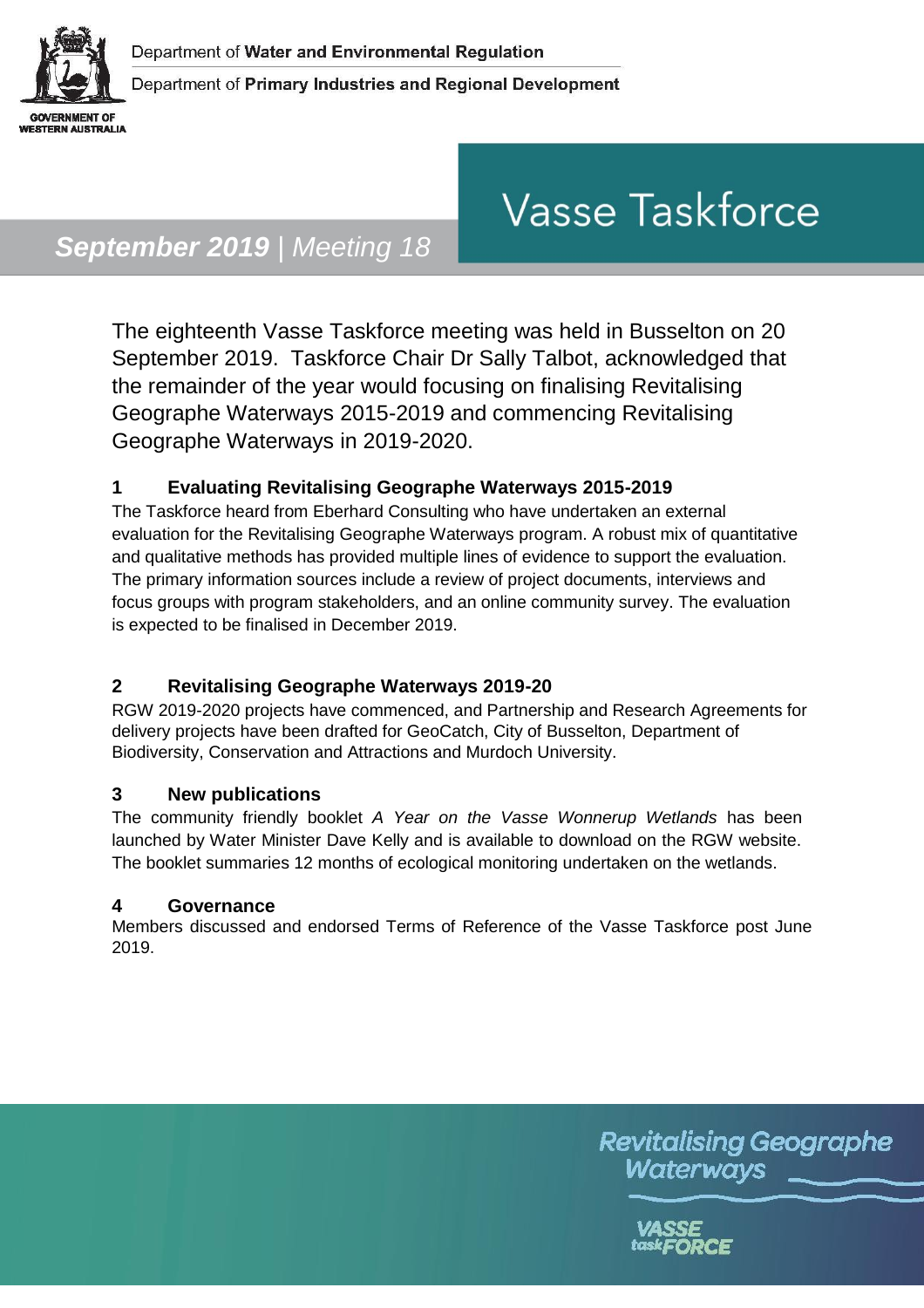

# **Vasse Taskforce**

# *September 2019 | Meeting 18*

The eighteenth Vasse Taskforce meeting was held in Busselton on 20 September 2019. Taskforce Chair Dr Sally Talbot, acknowledged that the remainder of the year would focusing on finalising Revitalising Geographe Waterways 2015-2019 and commencing Revitalising Geographe Waterways in 2019-2020.

#### **1 Evaluating Revitalising Geographe Waterways 2015-2019**

The Taskforce heard from Eberhard Consulting who have undertaken an external evaluation for the Revitalising Geographe Waterways program. A robust mix of quantitative and qualitative methods has provided multiple lines of evidence to support the evaluation. The primary information sources include a review of project documents, interviews and focus groups with program stakeholders, and an online community survey. The evaluation is expected to be finalised in December 2019.

### **2 Revitalising Geographe Waterways 2019-20**

RGW 2019-2020 projects have commenced, and Partnership and Research Agreements for delivery projects have been drafted for GeoCatch, City of Busselton, Department of Biodiversity, Conservation and Attractions and Murdoch University.

#### **3 New publications**

The community friendly booklet *A Year on the Vasse Wonnerup Wetlands* has been launched by Water Minister Dave Kelly and is available to download on the RGW website. The booklet summaries 12 months of ecological monitoring undertaken on the wetlands.

#### **4 Governance**

Members discussed and endorsed Terms of Reference of the Vasse Taskforce post June 2019.

> **Revitalising Geographe** Waterways

> > task**FORCE**